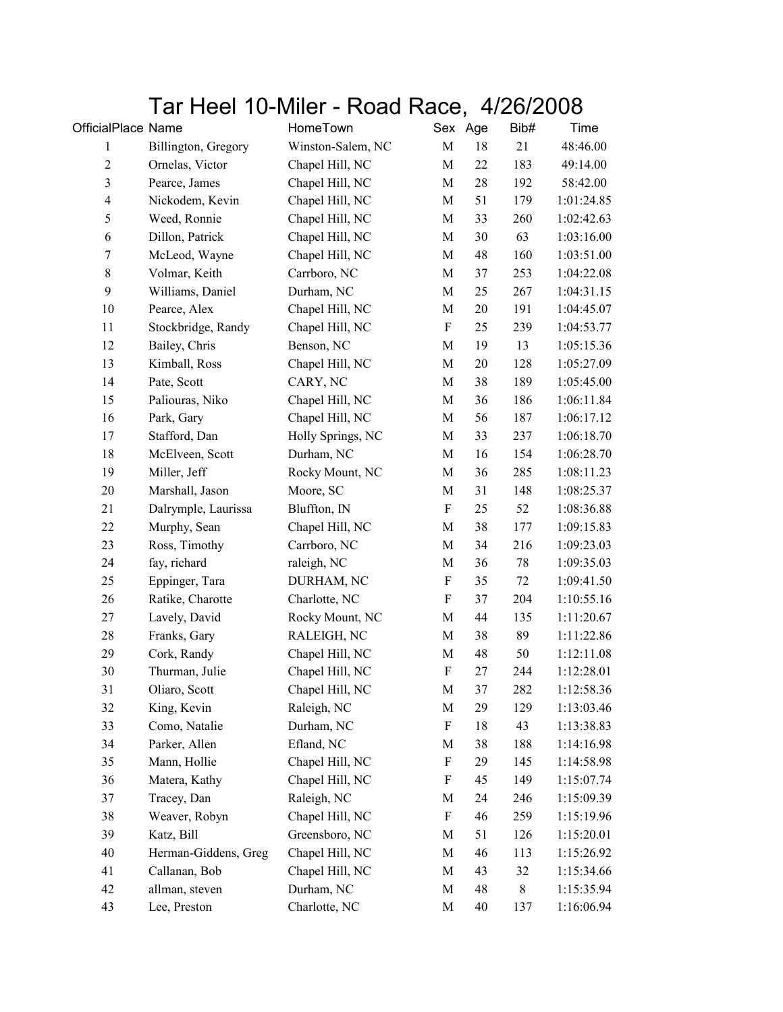## Tar Heel 10-Miler - Road Race, 4/26/2008

| OfficialPlace Name       |                      | HomeTown          |                           | Sex Age | Bib#   | Time       |
|--------------------------|----------------------|-------------------|---------------------------|---------|--------|------------|
| 1                        | Billington, Gregory  | Winston-Salem, NC | M                         | 18      | 21     | 48:46.00   |
| $\sqrt{2}$               | Ornelas, Victor      | Chapel Hill, NC   | M                         | 22      | 183    | 49:14.00   |
| 3                        | Pearce, James        | Chapel Hill, NC   | $\mathbf M$               | 28      | 192    | 58:42.00   |
| $\overline{\mathcal{A}}$ | Nickodem, Kevin      | Chapel Hill, NC   | $\mathbf M$               | 51      | 179    | 1:01:24.85 |
| 5                        | Weed, Ronnie         | Chapel Hill, NC   | $\mathbf M$               | 33      | 260    | 1:02:42.63 |
| 6                        | Dillon, Patrick      | Chapel Hill, NC   | M                         | 30      | 63     | 1:03:16.00 |
| $\boldsymbol{7}$         | McLeod, Wayne        | Chapel Hill, NC   | $\mathbf M$               | 48      | 160    | 1:03:51.00 |
| $8\,$                    | Volmar, Keith        | Carrboro, NC      | M                         | 37      | 253    | 1:04:22.08 |
| 9                        | Williams, Daniel     | Durham, NC        | $\mathbf M$               | 25      | 267    | 1:04:31.15 |
| 10                       | Pearce, Alex         | Chapel Hill, NC   | $\mathbf M$               | 20      | 191    | 1:04:45.07 |
| 11                       | Stockbridge, Randy   | Chapel Hill, NC   | $\boldsymbol{\mathrm{F}}$ | 25      | 239    | 1:04:53.77 |
| 12                       | Bailey, Chris        | Benson, NC        | $\mathbf M$               | 19      | 13     | 1:05:15.36 |
| 13                       | Kimball, Ross        | Chapel Hill, NC   | $\mathbf M$               | 20      | 128    | 1:05:27.09 |
| 14                       | Pate, Scott          | CARY, NC          | $\mathbf M$               | 38      | 189    | 1:05:45.00 |
| 15                       | Paliouras, Niko      | Chapel Hill, NC   | $\mathbf M$               | 36      | 186    | 1:06:11.84 |
| 16                       | Park, Gary           | Chapel Hill, NC   | M                         | 56      | 187    | 1:06:17.12 |
| 17                       | Stafford, Dan        | Holly Springs, NC | M                         | 33      | 237    | 1:06:18.70 |
| 18                       | McElveen, Scott      | Durham, NC        | $\mathbf M$               | 16      | 154    | 1:06:28.70 |
| 19                       | Miller, Jeff         | Rocky Mount, NC   | $\mathbf M$               | 36      | 285    | 1:08:11.23 |
| 20                       | Marshall, Jason      | Moore, SC         | $\mathbf M$               | 31      | 148    | 1:08:25.37 |
| 21                       | Dalrymple, Laurissa  | Bluffton, IN      | $\boldsymbol{\mathrm{F}}$ | 25      | 52     | 1:08:36.88 |
| 22                       | Murphy, Sean         | Chapel Hill, NC   | M                         | 38      | 177    | 1:09:15.83 |
| 23                       | Ross, Timothy        | Carrboro, NC      | $\mathbf M$               | 34      | 216    | 1:09:23.03 |
| 24                       | fay, richard         | raleigh, NC       | $\mathbf M$               | 36      | $78\,$ | 1:09:35.03 |
| 25                       | Eppinger, Tara       | DURHAM, NC        | F                         | 35      | 72     | 1:09:41.50 |
| 26                       | Ratike, Charotte     | Charlotte, NC     | $\boldsymbol{\mathrm{F}}$ | 37      | 204    | 1:10:55.16 |
| 27                       | Lavely, David        | Rocky Mount, NC   | M                         | 44      | 135    | 1:11:20.67 |
| 28                       | Franks, Gary         | RALEIGH, NC       | M                         | 38      | 89     | 1:11:22.86 |
| 29                       | Cork, Randy          | Chapel Hill, NC   | $\mathbf M$               | 48      | 50     | 1:12:11.08 |
| 30                       | Thurman, Julie       | Chapel Hill, NC   | ${\bf F}$                 | 27      | 244    | 1:12:28.01 |
| 31                       | Oliaro, Scott        | Chapel Hill, NC   | M                         | 37      | 282    | 1:12:58.36 |
| 32                       | King, Kevin          | Raleigh, NC       | $\mathbf M$               | 29      | 129    | 1:13:03.46 |
| 33                       | Como, Natalie        | Durham, NC        | $\boldsymbol{\mathrm{F}}$ | 18      | 43     | 1:13:38.83 |
| 34                       | Parker, Allen        | Efland, NC        | M                         | 38      | 188    | 1:14:16.98 |
| 35                       | Mann, Hollie         | Chapel Hill, NC   | $\boldsymbol{\mathrm{F}}$ | 29      | 145    | 1:14:58.98 |
| 36                       | Matera, Kathy        | Chapel Hill, NC   | F                         | 45      | 149    | 1:15:07.74 |
| 37                       | Tracey, Dan          | Raleigh, NC       | M                         | 24      | 246    | 1:15:09.39 |
| 38                       | Weaver, Robyn        | Chapel Hill, NC   | ${\bf F}$                 | 46      | 259    | 1:15:19.96 |
| 39                       | Katz, Bill           | Greensboro, NC    | M                         | 51      | 126    | 1:15:20.01 |
| 40                       | Herman-Giddens, Greg | Chapel Hill, NC   | $\mathbf M$               | 46      | 113    | 1:15:26.92 |
| 41                       | Callanan, Bob        | Chapel Hill, NC   | M                         | 43      | 32     | 1:15:34.66 |
| 42                       | allman, steven       | Durham, NC        | M                         | 48      | 8      | 1:15:35.94 |
| 43                       | Lee, Preston         | Charlotte, NC     | $\mathbf M$               | 40      | 137    | 1:16:06.94 |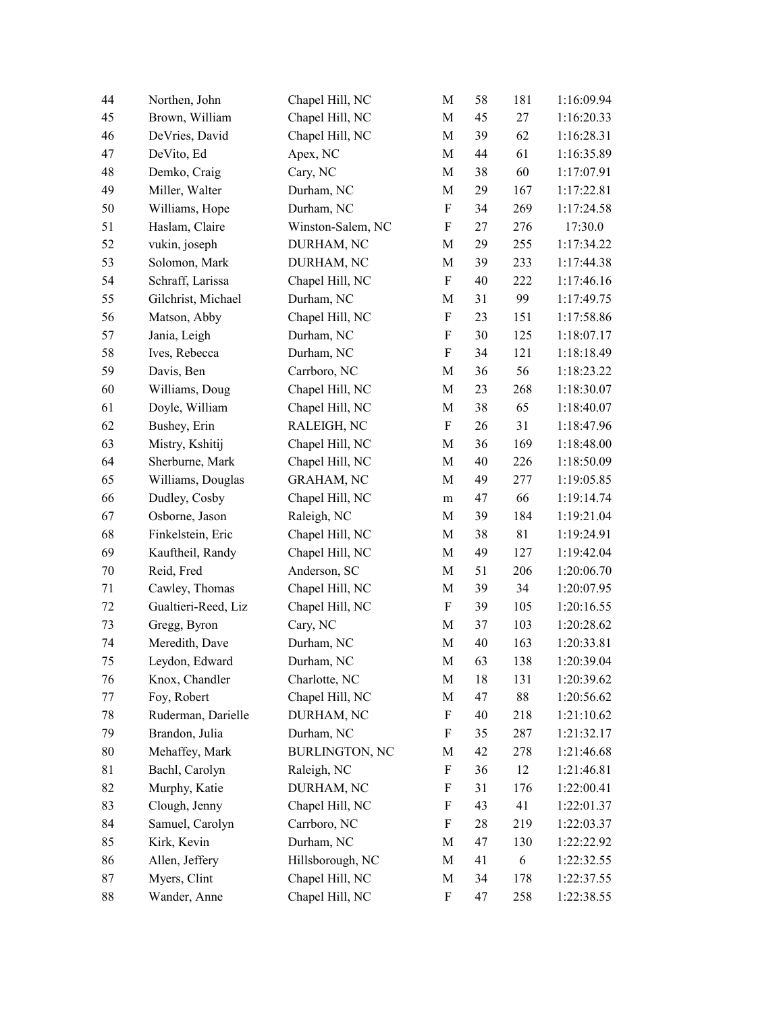| 44 | Northen, John       | Chapel Hill, NC       | M                         | 58 | 181 | 1:16:09.94 |
|----|---------------------|-----------------------|---------------------------|----|-----|------------|
| 45 | Brown, William      | Chapel Hill, NC       | M                         | 45 | 27  | 1:16:20.33 |
| 46 | DeVries, David      | Chapel Hill, NC       | M                         | 39 | 62  | 1:16:28.31 |
| 47 | DeVito, Ed          | Apex, NC              | M                         | 44 | 61  | 1:16:35.89 |
| 48 | Demko, Craig        | Cary, NC              | M                         | 38 | 60  | 1:17:07.91 |
| 49 | Miller, Walter      | Durham, NC            | M                         | 29 | 167 | 1:17:22.81 |
| 50 | Williams, Hope      | Durham, NC            | $\boldsymbol{\mathrm{F}}$ | 34 | 269 | 1:17:24.58 |
| 51 | Haslam, Claire      | Winston-Salem, NC     | $\boldsymbol{\mathrm{F}}$ | 27 | 276 | 17:30.0    |
| 52 | vukin, joseph       | DURHAM, NC            | M                         | 29 | 255 | 1:17:34.22 |
| 53 | Solomon, Mark       | DURHAM, NC            | M                         | 39 | 233 | 1:17:44.38 |
| 54 | Schraff, Larissa    | Chapel Hill, NC       | $\boldsymbol{\mathrm{F}}$ | 40 | 222 | 1:17:46.16 |
| 55 | Gilchrist, Michael  | Durham, NC            | M                         | 31 | 99  | 1:17:49.75 |
| 56 | Matson, Abby        | Chapel Hill, NC       | $\boldsymbol{\mathrm{F}}$ | 23 | 151 | 1:17:58.86 |
| 57 | Jania, Leigh        | Durham, NC            | $\boldsymbol{\mathrm{F}}$ | 30 | 125 | 1:18:07.17 |
| 58 | Ives, Rebecca       | Durham, NC            | $\boldsymbol{\mathrm{F}}$ | 34 | 121 | 1:18:18.49 |
| 59 | Davis, Ben          | Carrboro, NC          | M                         | 36 | 56  | 1:18:23.22 |
| 60 | Williams, Doug      | Chapel Hill, NC       | $\mathbf M$               | 23 | 268 | 1:18:30.07 |
| 61 | Doyle, William      | Chapel Hill, NC       | M                         | 38 | 65  | 1:18:40.07 |
| 62 | Bushey, Erin        | RALEIGH, NC           | F                         | 26 | 31  | 1:18:47.96 |
| 63 | Mistry, Kshitij     | Chapel Hill, NC       | M                         | 36 | 169 | 1:18:48.00 |
| 64 | Sherburne, Mark     | Chapel Hill, NC       | M                         | 40 | 226 | 1:18:50.09 |
| 65 | Williams, Douglas   | <b>GRAHAM, NC</b>     | M                         | 49 | 277 | 1:19:05.85 |
| 66 | Dudley, Cosby       | Chapel Hill, NC       | m                         | 47 | 66  | 1:19:14.74 |
| 67 | Osborne, Jason      | Raleigh, NC           | M                         | 39 | 184 | 1:19:21.04 |
| 68 | Finkelstein, Eric   | Chapel Hill, NC       | M                         | 38 | 81  | 1:19:24.91 |
| 69 | Kauftheil, Randy    | Chapel Hill, NC       | M                         | 49 | 127 | 1:19:42.04 |
| 70 | Reid, Fred          | Anderson, SC          | M                         | 51 | 206 | 1:20:06.70 |
| 71 | Cawley, Thomas      | Chapel Hill, NC       | M                         | 39 | 34  | 1:20:07.95 |
| 72 | Gualtieri-Reed, Liz | Chapel Hill, NC       | F                         | 39 | 105 | 1:20:16.55 |
| 73 | Gregg, Byron        | Cary, NC              | M                         | 37 | 103 | 1:20:28.62 |
| 74 | Meredith, Dave      | Durham, NC            | M                         | 40 | 163 | 1:20:33.81 |
| 75 | Leydon, Edward      | Durham, NC            | M                         | 63 | 138 | 1:20:39.04 |
| 76 | Knox, Chandler      | Charlotte, NC         | M                         | 18 | 131 | 1:20:39.62 |
| 77 | Foy, Robert         | Chapel Hill, NC       | M                         | 47 | 88  | 1:20:56.62 |
| 78 | Ruderman, Darielle  | DURHAM, NC            | F                         | 40 | 218 | 1:21:10.62 |
| 79 | Brandon, Julia      | Durham, NC            | F                         | 35 | 287 | 1:21:32.17 |
| 80 | Mehaffey, Mark      | <b>BURLINGTON, NC</b> | M                         | 42 | 278 | 1:21:46.68 |
| 81 | Bachl, Carolyn      | Raleigh, NC           | F                         | 36 | 12  | 1:21:46.81 |
| 82 | Murphy, Katie       | DURHAM, NC            | F                         | 31 | 176 | 1:22:00.41 |
| 83 | Clough, Jenny       | Chapel Hill, NC       | F                         | 43 | 41  | 1:22:01.37 |
| 84 | Samuel, Carolyn     | Carrboro, NC          | F                         | 28 | 219 | 1:22:03.37 |
| 85 | Kirk, Kevin         | Durham, NC            | M                         | 47 | 130 | 1:22:22.92 |
| 86 | Allen, Jeffery      | Hillsborough, NC      | M                         | 41 | 6   | 1:22:32.55 |
| 87 | Myers, Clint        | Chapel Hill, NC       | M                         | 34 | 178 | 1:22:37.55 |
| 88 | Wander, Anne        | Chapel Hill, NC       | $\boldsymbol{\mathrm{F}}$ | 47 | 258 | 1:22:38.55 |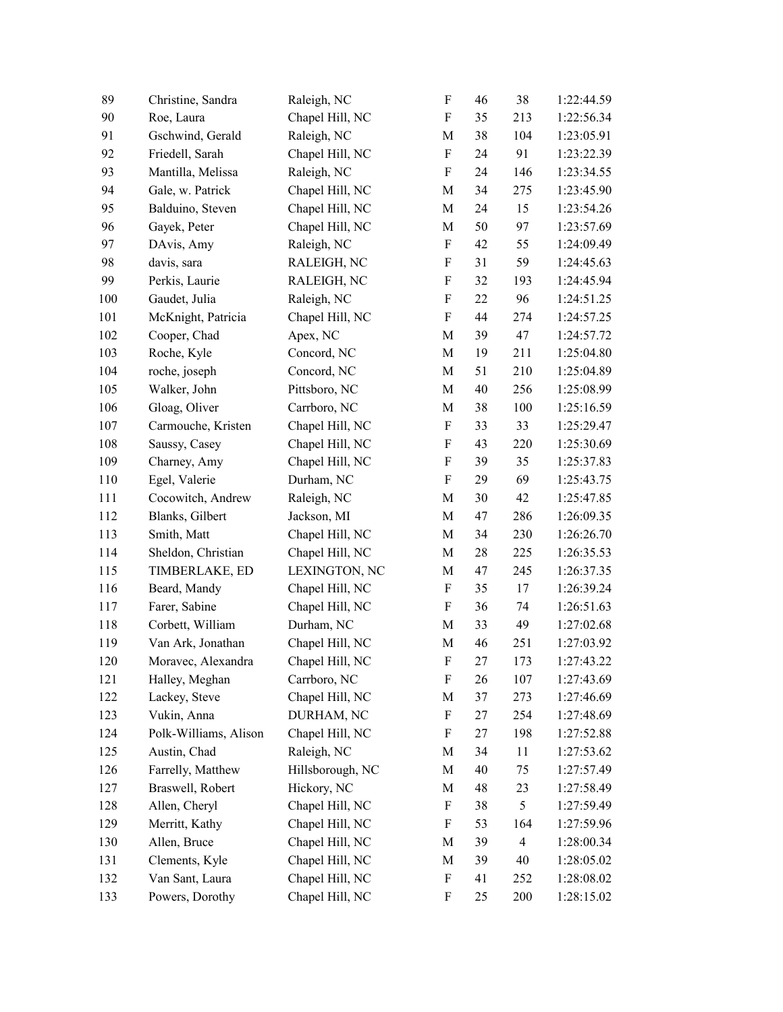| 89  | Christine, Sandra     | Raleigh, NC      | $\boldsymbol{\mathrm{F}}$ | 46 | 38             | 1:22:44.59 |
|-----|-----------------------|------------------|---------------------------|----|----------------|------------|
| 90  | Roe, Laura            | Chapel Hill, NC  | F                         | 35 | 213            | 1:22:56.34 |
| 91  | Gschwind, Gerald      | Raleigh, NC      | M                         | 38 | 104            | 1:23:05.91 |
| 92  | Friedell, Sarah       | Chapel Hill, NC  | $\boldsymbol{\mathrm{F}}$ | 24 | 91             | 1:23:22.39 |
| 93  | Mantilla, Melissa     | Raleigh, NC      | $\boldsymbol{\mathrm{F}}$ | 24 | 146            | 1:23:34.55 |
| 94  | Gale, w. Patrick      | Chapel Hill, NC  | $\mathbf M$               | 34 | 275            | 1:23:45.90 |
| 95  | Balduino, Steven      | Chapel Hill, NC  | M                         | 24 | 15             | 1:23:54.26 |
| 96  | Gayek, Peter          | Chapel Hill, NC  | M                         | 50 | 97             | 1:23:57.69 |
| 97  | DAvis, Amy            | Raleigh, NC      | F                         | 42 | 55             | 1:24:09.49 |
| 98  | davis, sara           | RALEIGH, NC      | F                         | 31 | 59             | 1:24:45.63 |
| 99  | Perkis, Laurie        | RALEIGH, NC      | F                         | 32 | 193            | 1:24:45.94 |
| 100 | Gaudet, Julia         | Raleigh, NC      | $\boldsymbol{\mathrm{F}}$ | 22 | 96             | 1:24:51.25 |
| 101 | McKnight, Patricia    | Chapel Hill, NC  | $\boldsymbol{\mathrm{F}}$ | 44 | 274            | 1:24:57.25 |
| 102 | Cooper, Chad          | Apex, NC         | M                         | 39 | 47             | 1:24:57.72 |
| 103 | Roche, Kyle           | Concord, NC      | M                         | 19 | 211            | 1:25:04.80 |
| 104 | roche, joseph         | Concord, NC      | M                         | 51 | 210            | 1:25:04.89 |
| 105 | Walker, John          | Pittsboro, NC    | M                         | 40 | 256            | 1:25:08.99 |
| 106 | Gloag, Oliver         | Carrboro, NC     | M                         | 38 | 100            | 1:25:16.59 |
| 107 | Carmouche, Kristen    | Chapel Hill, NC  | F                         | 33 | 33             | 1:25:29.47 |
| 108 | Saussy, Casey         | Chapel Hill, NC  | $\boldsymbol{\mathrm{F}}$ | 43 | 220            | 1:25:30.69 |
| 109 | Charney, Amy          | Chapel Hill, NC  | F                         | 39 | 35             | 1:25:37.83 |
| 110 | Egel, Valerie         | Durham, NC       | F                         | 29 | 69             | 1:25:43.75 |
| 111 | Cocowitch, Andrew     | Raleigh, NC      | M                         | 30 | 42             | 1:25:47.85 |
| 112 | Blanks, Gilbert       | Jackson, MI      | M                         | 47 | 286            | 1:26:09.35 |
| 113 | Smith, Matt           | Chapel Hill, NC  | M                         | 34 | 230            | 1:26:26.70 |
| 114 | Sheldon, Christian    | Chapel Hill, NC  | M                         | 28 | 225            | 1:26:35.53 |
| 115 | TIMBERLAKE, ED        | LEXINGTON, NC    | M                         | 47 | 245            | 1:26:37.35 |
| 116 | Beard, Mandy          | Chapel Hill, NC  | F                         | 35 | 17             | 1:26:39.24 |
| 117 | Farer, Sabine         | Chapel Hill, NC  | F                         | 36 | 74             | 1:26:51.63 |
| 118 | Corbett, William      | Durham, NC       | M                         | 33 | 49             | 1:27:02.68 |
| 119 | Van Ark, Jonathan     | Chapel Hill, NC  | $\mathbf M$               | 46 | 251            | 1:27:03.92 |
| 120 | Moravec, Alexandra    | Chapel Hill, NC  | $\boldsymbol{\mathrm{F}}$ | 27 | 173            | 1:27:43.22 |
| 121 | Halley, Meghan        | Carrboro, NC     | F                         | 26 | 107            | 1:27:43.69 |
| 122 | Lackey, Steve         | Chapel Hill, NC  | M                         | 37 | 273            | 1:27:46.69 |
| 123 | Vukin, Anna           | DURHAM, NC       | F                         | 27 | 254            | 1:27:48.69 |
| 124 | Polk-Williams, Alison | Chapel Hill, NC  | F                         | 27 | 198            | 1:27:52.88 |
| 125 | Austin, Chad          | Raleigh, NC      | M                         | 34 | 11             | 1:27:53.62 |
| 126 | Farrelly, Matthew     | Hillsborough, NC | M                         | 40 | 75             | 1:27:57.49 |
| 127 | Braswell, Robert      | Hickory, NC      | M                         | 48 | 23             | 1:27:58.49 |
| 128 | Allen, Cheryl         | Chapel Hill, NC  | F                         | 38 | 5              | 1:27:59.49 |
| 129 | Merritt, Kathy        | Chapel Hill, NC  | F                         | 53 | 164            | 1:27:59.96 |
| 130 | Allen, Bruce          | Chapel Hill, NC  | M                         | 39 | $\overline{4}$ | 1:28:00.34 |
| 131 | Clements, Kyle        | Chapel Hill, NC  | M                         | 39 | 40             | 1:28:05.02 |
| 132 | Van Sant, Laura       | Chapel Hill, NC  | F                         | 41 | 252            | 1:28:08.02 |
| 133 | Powers, Dorothy       | Chapel Hill, NC  | F                         | 25 | 200            | 1:28:15.02 |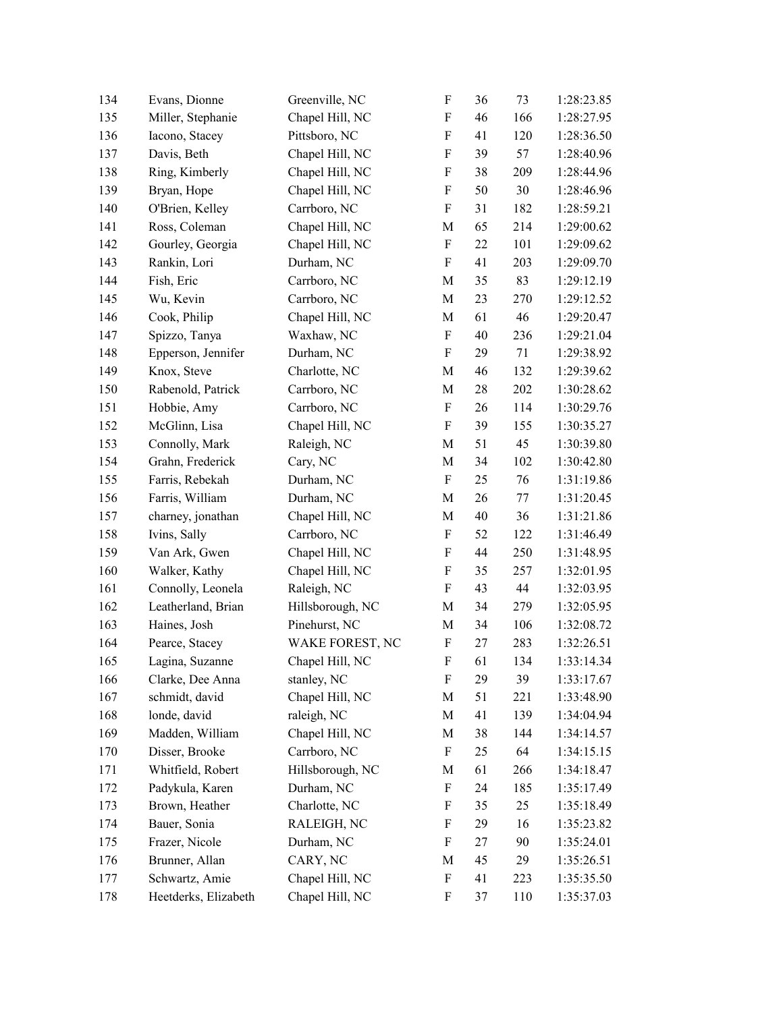| 134 | Evans, Dionne        | Greenville, NC   | $\boldsymbol{\mathrm{F}}$ | 36 | 73  | 1:28:23.85 |
|-----|----------------------|------------------|---------------------------|----|-----|------------|
| 135 | Miller, Stephanie    | Chapel Hill, NC  | $\boldsymbol{\mathrm{F}}$ | 46 | 166 | 1:28:27.95 |
| 136 | Iacono, Stacey       | Pittsboro, NC    | $\boldsymbol{\mathrm{F}}$ | 41 | 120 | 1:28:36.50 |
| 137 | Davis, Beth          | Chapel Hill, NC  | $\boldsymbol{\mathrm{F}}$ | 39 | 57  | 1:28:40.96 |
| 138 | Ring, Kimberly       | Chapel Hill, NC  | $\boldsymbol{\mathrm{F}}$ | 38 | 209 | 1:28:44.96 |
| 139 | Bryan, Hope          | Chapel Hill, NC  | $\boldsymbol{\mathrm{F}}$ | 50 | 30  | 1:28:46.96 |
| 140 | O'Brien, Kelley      | Carrboro, NC     | $\boldsymbol{\mathrm{F}}$ | 31 | 182 | 1:28:59.21 |
| 141 | Ross, Coleman        | Chapel Hill, NC  | M                         | 65 | 214 | 1:29:00.62 |
| 142 | Gourley, Georgia     | Chapel Hill, NC  | $\boldsymbol{\mathrm{F}}$ | 22 | 101 | 1:29:09.62 |
| 143 | Rankin, Lori         | Durham, NC       | $\boldsymbol{\mathrm{F}}$ | 41 | 203 | 1:29:09.70 |
| 144 | Fish, Eric           | Carrboro, NC     | M                         | 35 | 83  | 1:29:12.19 |
| 145 | Wu, Kevin            | Carrboro, NC     | M                         | 23 | 270 | 1:29:12.52 |
| 146 | Cook, Philip         | Chapel Hill, NC  | M                         | 61 | 46  | 1:29:20.47 |
| 147 | Spizzo, Tanya        | Waxhaw, NC       | F                         | 40 | 236 | 1:29:21.04 |
| 148 | Epperson, Jennifer   | Durham, NC       | $\boldsymbol{\mathrm{F}}$ | 29 | 71  | 1:29:38.92 |
| 149 | Knox, Steve          | Charlotte, NC    | M                         | 46 | 132 | 1:29:39.62 |
| 150 | Rabenold, Patrick    | Carrboro, NC     | M                         | 28 | 202 | 1:30:28.62 |
| 151 | Hobbie, Amy          | Carrboro, NC     | $\boldsymbol{\mathrm{F}}$ | 26 | 114 | 1:30:29.76 |
| 152 | McGlinn, Lisa        | Chapel Hill, NC  | $\boldsymbol{\mathrm{F}}$ | 39 | 155 | 1:30:35.27 |
| 153 | Connolly, Mark       | Raleigh, NC      | M                         | 51 | 45  | 1:30:39.80 |
| 154 | Grahn, Frederick     | Cary, NC         | M                         | 34 | 102 | 1:30:42.80 |
| 155 | Farris, Rebekah      | Durham, NC       | F                         | 25 | 76  | 1:31:19.86 |
| 156 | Farris, William      | Durham, NC       | M                         | 26 | 77  | 1:31:20.45 |
| 157 | charney, jonathan    | Chapel Hill, NC  | M                         | 40 | 36  | 1:31:21.86 |
| 158 | Ivins, Sally         | Carrboro, NC     | $\boldsymbol{\mathrm{F}}$ | 52 | 122 | 1:31:46.49 |
| 159 | Van Ark, Gwen        | Chapel Hill, NC  | $\rm F$                   | 44 | 250 | 1:31:48.95 |
| 160 | Walker, Kathy        | Chapel Hill, NC  | $\boldsymbol{\mathrm{F}}$ | 35 | 257 | 1:32:01.95 |
| 161 | Connolly, Leonela    | Raleigh, NC      | $\boldsymbol{\mathrm{F}}$ | 43 | 44  | 1:32:03.95 |
| 162 | Leatherland, Brian   | Hillsborough, NC | M                         | 34 | 279 | 1:32:05.95 |
| 163 | Haines, Josh         | Pinehurst, NC    | M                         | 34 | 106 | 1:32:08.72 |
| 164 | Pearce, Stacey       | WAKE FOREST, NC  | $\boldsymbol{\mathrm{F}}$ | 27 | 283 | 1:32:26.51 |
| 165 | Lagina, Suzanne      | Chapel Hill, NC  | ${\bf F}$                 | 61 | 134 | 1:33:14.34 |
| 166 | Clarke, Dee Anna     | stanley, NC      | F                         | 29 | 39  | 1:33:17.67 |
| 167 | schmidt, david       | Chapel Hill, NC  | M                         | 51 | 221 | 1:33:48.90 |
| 168 | londe, david         | raleigh, NC      | M                         | 41 | 139 | 1:34:04.94 |
| 169 | Madden, William      | Chapel Hill, NC  | M                         | 38 | 144 | 1:34:14.57 |
| 170 | Disser, Brooke       | Carrboro, NC     | F                         | 25 | 64  | 1:34:15.15 |
| 171 | Whitfield, Robert    | Hillsborough, NC | M                         | 61 | 266 | 1:34:18.47 |
| 172 | Padykula, Karen      | Durham, NC       | F                         | 24 | 185 | 1:35:17.49 |
| 173 | Brown, Heather       | Charlotte, NC    | F                         | 35 | 25  | 1:35:18.49 |
| 174 | Bauer, Sonia         | RALEIGH, NC      | F                         | 29 | 16  | 1:35:23.82 |
| 175 | Frazer, Nicole       | Durham, NC       | F                         | 27 | 90  | 1:35:24.01 |
| 176 | Brunner, Allan       | CARY, NC         | M                         | 45 | 29  | 1:35:26.51 |
| 177 | Schwartz, Amie       | Chapel Hill, NC  | F                         | 41 | 223 | 1:35:35.50 |
| 178 | Heetderks, Elizabeth | Chapel Hill, NC  | F                         | 37 | 110 | 1:35:37.03 |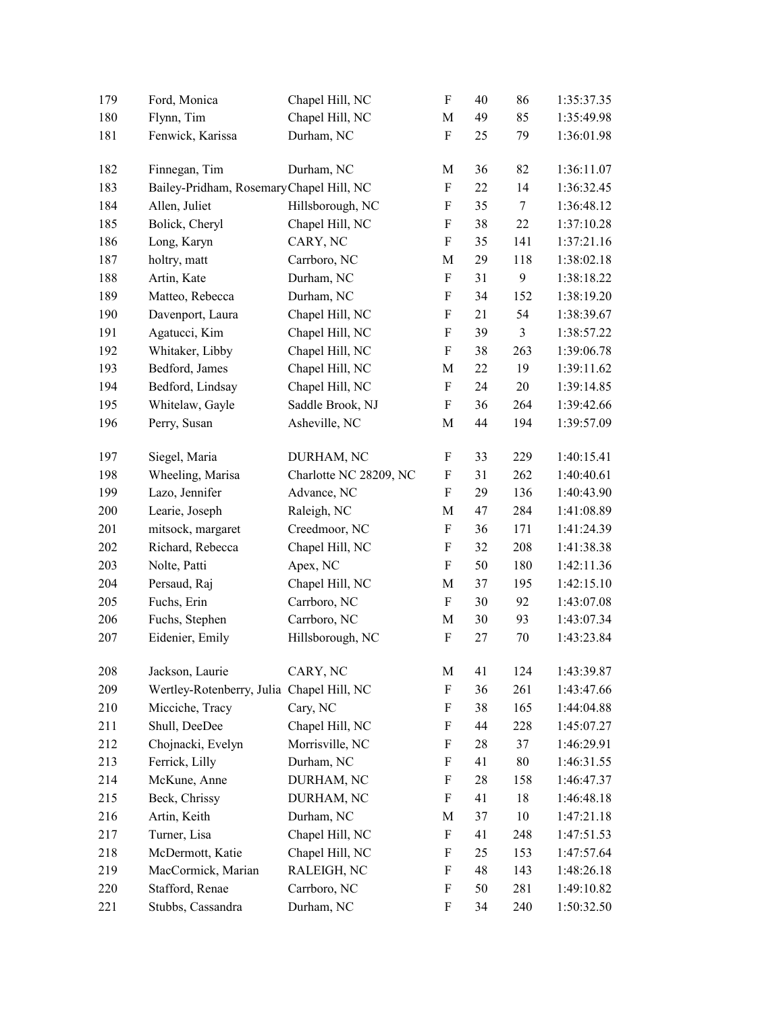| 179 | Ford, Monica                              | Chapel Hill, NC        | $\boldsymbol{\mathrm{F}}$ | 40 | 86             | 1:35:37.35 |
|-----|-------------------------------------------|------------------------|---------------------------|----|----------------|------------|
| 180 | Flynn, Tim                                | Chapel Hill, NC        | $\mathbf M$               | 49 | 85             | 1:35:49.98 |
| 181 | Fenwick, Karissa                          | Durham, NC             | $\boldsymbol{\mathrm{F}}$ | 25 | 79             | 1:36:01.98 |
| 182 | Finnegan, Tim                             | Durham, NC             | M                         | 36 | 82             | 1:36:11.07 |
| 183 | Bailey-Pridham, RosemaryChapel Hill, NC   |                        | $\boldsymbol{\mathrm{F}}$ | 22 | 14             | 1:36:32.45 |
| 184 | Allen, Juliet                             | Hillsborough, NC       | $\rm F$                   | 35 | $\tau$         | 1:36:48.12 |
| 185 | Bolick, Cheryl                            | Chapel Hill, NC        | $\boldsymbol{\mathrm{F}}$ | 38 | 22             | 1:37:10.28 |
| 186 | Long, Karyn                               | CARY, NC               | $\boldsymbol{\mathrm{F}}$ | 35 | 141            | 1:37:21.16 |
| 187 | holtry, matt                              | Carrboro, NC           | $\mathbf M$               | 29 | 118            | 1:38:02.18 |
| 188 | Artin, Kate                               | Durham, NC             | $\rm F$                   | 31 | 9              | 1:38:18.22 |
| 189 | Matteo, Rebecca                           | Durham, NC             | $\boldsymbol{\mathrm{F}}$ | 34 | 152            | 1:38:19.20 |
| 190 | Davenport, Laura                          | Chapel Hill, NC        | $\boldsymbol{\mathrm{F}}$ | 21 | 54             | 1:38:39.67 |
| 191 | Agatucci, Kim                             | Chapel Hill, NC        | F                         | 39 | $\mathfrak{Z}$ | 1:38:57.22 |
| 192 | Whitaker, Libby                           | Chapel Hill, NC        | F                         | 38 | 263            | 1:39:06.78 |
| 193 | Bedford, James                            | Chapel Hill, NC        | M                         | 22 | 19             | 1:39:11.62 |
| 194 | Bedford, Lindsay                          | Chapel Hill, NC        | $\boldsymbol{\mathrm{F}}$ | 24 | 20             | 1:39:14.85 |
| 195 | Whitelaw, Gayle                           | Saddle Brook, NJ       | $\boldsymbol{\mathrm{F}}$ | 36 | 264            | 1:39:42.66 |
| 196 | Perry, Susan                              | Asheville, NC          | M                         | 44 | 194            | 1:39:57.09 |
| 197 | Siegel, Maria                             | DURHAM, NC             | F                         | 33 | 229            | 1:40:15.41 |
| 198 | Wheeling, Marisa                          | Charlotte NC 28209, NC | $\boldsymbol{\mathrm{F}}$ | 31 | 262            | 1:40:40.61 |
| 199 | Lazo, Jennifer                            | Advance, NC            | $\boldsymbol{\mathrm{F}}$ | 29 | 136            | 1:40:43.90 |
| 200 | Learie, Joseph                            | Raleigh, NC            | $\mathbf M$               | 47 | 284            | 1:41:08.89 |
| 201 | mitsock, margaret                         | Creedmoor, NC          | $\boldsymbol{\mathrm{F}}$ | 36 | 171            | 1:41:24.39 |
| 202 | Richard, Rebecca                          | Chapel Hill, NC        | $\boldsymbol{\mathrm{F}}$ | 32 | 208            | 1:41:38.38 |
| 203 | Nolte, Patti                              | Apex, NC               | F                         | 50 | 180            | 1:42:11.36 |
| 204 | Persaud, Raj                              | Chapel Hill, NC        | M                         | 37 | 195            | 1:42:15.10 |
| 205 | Fuchs, Erin                               | Carrboro, NC           | F                         | 30 | 92             | 1:43:07.08 |
| 206 | Fuchs, Stephen                            | Carrboro, NC           | $\mathbf M$               | 30 | 93             | 1:43:07.34 |
| 207 | Eidenier, Emily                           | Hillsborough, NC       | $\rm F$                   | 27 | 70             | 1:43:23.84 |
| 208 | Jackson, Laurie                           | CARY, NC               | $\mathbf M$               | 41 | 124            | 1:43:39.87 |
| 209 | Wertley-Rotenberry, Julia Chapel Hill, NC |                        | $\boldsymbol{\mathrm{F}}$ | 36 | 261            | 1:43:47.66 |
| 210 | Micciche, Tracy                           | Cary, NC               | F                         | 38 | 165            | 1:44:04.88 |
| 211 | Shull, DeeDee                             | Chapel Hill, NC        | $\boldsymbol{\mathrm{F}}$ | 44 | 228            | 1:45:07.27 |
| 212 | Chojnacki, Evelyn                         | Morrisville, NC        | F                         | 28 | 37             | 1:46:29.91 |
| 213 | Ferrick, Lilly                            | Durham, NC             | F                         | 41 | $80\,$         | 1:46:31.55 |
| 214 | McKune, Anne                              | DURHAM, NC             | F                         | 28 | 158            | 1:46:47.37 |
| 215 | Beck, Chrissy                             | DURHAM, NC             | F                         | 41 | 18             | 1:46:48.18 |
| 216 | Artin, Keith                              | Durham, NC             | M                         | 37 | 10             | 1:47:21.18 |
| 217 | Turner, Lisa                              | Chapel Hill, NC        | F                         | 41 | 248            | 1:47:51.53 |
| 218 | McDermott, Katie                          | Chapel Hill, NC        | F                         | 25 | 153            | 1:47:57.64 |
| 219 | MacCormick, Marian                        | RALEIGH, NC            | F                         | 48 | 143            | 1:48:26.18 |
| 220 | Stafford, Renae                           | Carrboro, NC           | F                         | 50 | 281            | 1:49:10.82 |
| 221 | Stubbs, Cassandra                         | Durham, NC             | F                         | 34 | 240            | 1:50:32.50 |
|     |                                           |                        |                           |    |                |            |